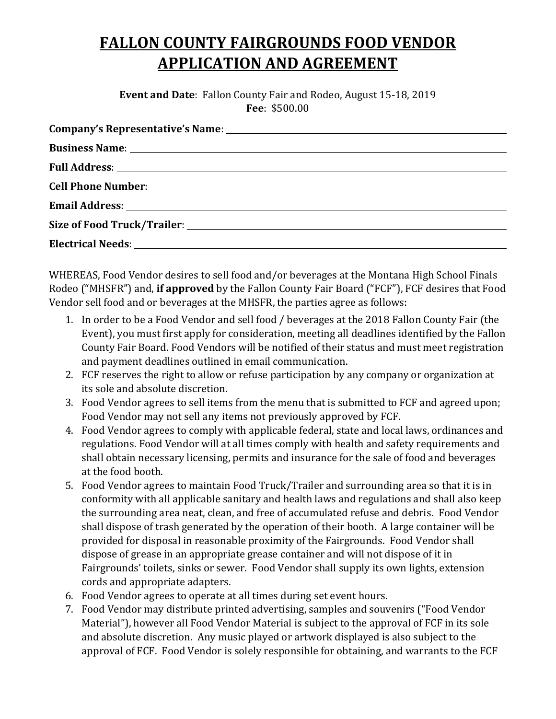## **FALLON COUNTY FAIRGROUNDS FOOD VENDOR APPLICATION AND AGREEMENT**

**Event and Date**: Fallon County Fair and Rodeo, August 15-18, 2019 **Fee**: \$500.00

| <b>Business Name:</b> <u>Contract Contract Contract Contract Contract Contract Contract Contract Contract Contract Contract Contract Contract Contract Contract Contract Contract Contract Contract Contract Contract Contract Contra</u> |
|-------------------------------------------------------------------------------------------------------------------------------------------------------------------------------------------------------------------------------------------|
|                                                                                                                                                                                                                                           |
|                                                                                                                                                                                                                                           |
|                                                                                                                                                                                                                                           |
|                                                                                                                                                                                                                                           |
|                                                                                                                                                                                                                                           |
|                                                                                                                                                                                                                                           |

WHEREAS, Food Vendor desires to sell food and/or beverages at the Montana High School Finals Rodeo ("MHSFR") and, **if approved** by the Fallon County Fair Board ("FCF"), FCF desires that Food Vendor sell food and or beverages at the MHSFR, the parties agree as follows:

- 1. In order to be a Food Vendor and sell food / beverages at the 2018 Fallon County Fair (the Event), you must first apply for consideration, meeting all deadlines identified by the Fallon County Fair Board. Food Vendors will be notified of their status and must meet registration and payment deadlines outlined in email communication.
- 2. FCF reserves the right to allow or refuse participation by any company or organization at its sole and absolute discretion.
- 3. Food Vendor agrees to sell items from the menu that is submitted to FCF and agreed upon; Food Vendor may not sell any items not previously approved by FCF.
- 4. Food Vendor agrees to comply with applicable federal, state and local laws, ordinances and regulations. Food Vendor will at all times comply with health and safety requirements and shall obtain necessary licensing, permits and insurance for the sale of food and beverages at the food booth.
- 5. Food Vendor agrees to maintain Food Truck/Trailer and surrounding area so that it is in conformity with all applicable sanitary and health laws and regulations and shall also keep the surrounding area neat, clean, and free of accumulated refuse and debris. Food Vendor shall dispose of trash generated by the operation of their booth. A large container will be provided for disposal in reasonable proximity of the Fairgrounds. Food Vendor shall dispose of grease in an appropriate grease container and will not dispose of it in Fairgrounds' toilets, sinks or sewer. Food Vendor shall supply its own lights, extension cords and appropriate adapters.
- 6. Food Vendor agrees to operate at all times during set event hours.
- 7. Food Vendor may distribute printed advertising, samples and souvenirs ("Food Vendor Material"), however all Food Vendor Material is subject to the approval of FCF in its sole and absolute discretion. Any music played or artwork displayed is also subject to the approval of FCF. Food Vendor is solely responsible for obtaining, and warrants to the FCF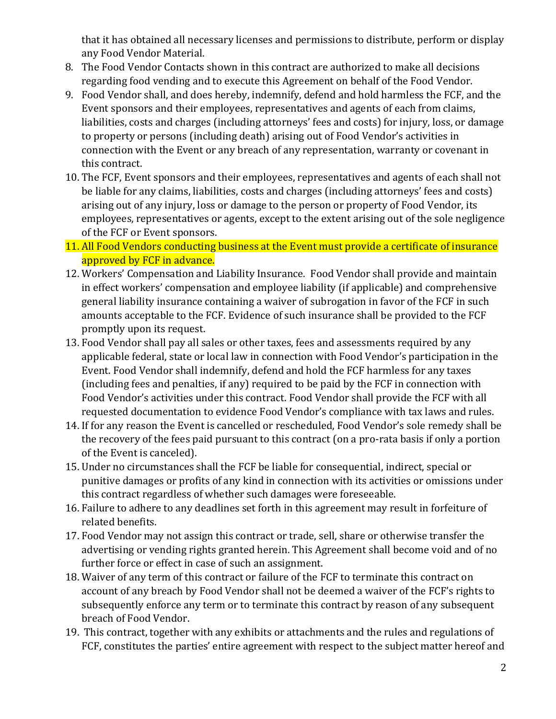that it has obtained all necessary licenses and permissions to distribute, perform or display any Food Vendor Material.

- 8. The Food Vendor Contacts shown in this contract are authorized to make all decisions regarding food vending and to execute this Agreement on behalf of the Food Vendor.
- 9. Food Vendor shall, and does hereby, indemnify, defend and hold harmless the FCF, and the Event sponsors and their employees, representatives and agents of each from claims, liabilities, costs and charges (including attorneys' fees and costs) for injury, loss, or damage to property or persons (including death) arising out of Food Vendor's activities in connection with the Event or any breach of any representation, warranty or covenant in this contract.
- 10. The FCF, Event sponsors and their employees, representatives and agents of each shall not be liable for any claims, liabilities, costs and charges (including attorneys' fees and costs) arising out of any injury, loss or damage to the person or property of Food Vendor, its employees, representatives or agents, except to the extent arising out of the sole negligence of the FCF or Event sponsors.
- 11. All Food Vendors conducting business at the Event must provide a certificate of insurance approved by FCF in advance.
- 12. Workers' Compensation and Liability Insurance. Food Vendor shall provide and maintain in effect workers' compensation and employee liability (if applicable) and comprehensive general liability insurance containing a waiver of subrogation in favor of the FCF in such amounts acceptable to the FCF. Evidence of such insurance shall be provided to the FCF promptly upon its request.
- 13. Food Vendor shall pay all sales or other taxes, fees and assessments required by any applicable federal, state or local law in connection with Food Vendor's participation in the Event. Food Vendor shall indemnify, defend and hold the FCF harmless for any taxes (including fees and penalties, if any) required to be paid by the FCF in connection with Food Vendor's activities under this contract. Food Vendor shall provide the FCF with all requested documentation to evidence Food Vendor's compliance with tax laws and rules.
- 14. If for any reason the Event is cancelled or rescheduled, Food Vendor's sole remedy shall be the recovery of the fees paid pursuant to this contract (on a pro-rata basis if only a portion of the Event is canceled).
- 15. Under no circumstances shall the FCF be liable for consequential, indirect, special or punitive damages or profits of any kind in connection with its activities or omissions under this contract regardless of whether such damages were foreseeable.
- 16. Failure to adhere to any deadlines set forth in this agreement may result in forfeiture of related benefits.
- 17. Food Vendor may not assign this contract or trade, sell, share or otherwise transfer the advertising or vending rights granted herein. This Agreement shall become void and of no further force or effect in case of such an assignment.
- 18. Waiver of any term of this contract or failure of the FCF to terminate this contract on account of any breach by Food Vendor shall not be deemed a waiver of the FCF's rights to subsequently enforce any term or to terminate this contract by reason of any subsequent breach of Food Vendor.
- 19. This contract, together with any exhibits or attachments and the rules and regulations of FCF, constitutes the parties' entire agreement with respect to the subject matter hereof and